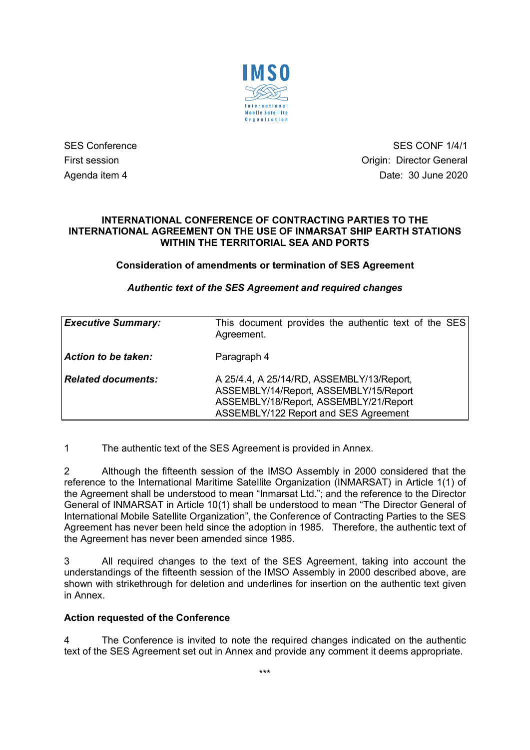

SES Conference SES CONF 1/4/1 First session **Contract Session** Critics of Contract Automateur Contract Origin: Director General Agenda item 4 Date: 30 June 2020

#### **INTERNATIONAL CONFERENCE OF CONTRACTING PARTIES TO THE INTERNATIONAL AGREEMENT ON THE USE OF INMARSAT SHIP EARTH STATIONS WITHIN THE TERRITORIAL SEA AND PORTS**

#### **Consideration of amendments or termination of SES Agreement**

#### *Authentic text of the SES Agreement and required changes*

| <b>Executive Summary:</b> | This document provides the authentic text of the SES<br>Agreement.                                                                                                     |
|---------------------------|------------------------------------------------------------------------------------------------------------------------------------------------------------------------|
| Action to be taken:       | Paragraph 4                                                                                                                                                            |
| <b>Related documents:</b> | A 25/4.4, A 25/14/RD, ASSEMBLY/13/Report,<br>ASSEMBLY/14/Report, ASSEMBLY/15/Report<br>ASSEMBLY/18/Report, ASSEMBLY/21/Report<br>ASSEMBLY/122 Report and SES Agreement |

1 The authentic text of the SES Agreement is provided in Annex.

2 Although the fifteenth session of the IMSO Assembly in 2000 considered that the reference to the International Maritime Satellite Organization (INMARSAT) in Article 1(1) of the Agreement shall be understood to mean "Inmarsat Ltd."; and the reference to the Director General of INMARSAT in Article 10(1) shall be understood to mean "The Director General of International Mobile Satellite Organization", the Conference of Contracting Parties to the SES Agreement has never been held since the adoption in 1985. Therefore, the authentic text of the Agreement has never been amended since 1985.

3 All required changes to the text of the SES Agreement, taking into account the understandings of the fifteenth session of the IMSO Assembly in 2000 described above, are shown with strikethrough for deletion and underlines for insertion on the authentic text given in Annex.

#### **Action requested of the Conference**

4 The Conference is invited to note the required changes indicated on the authentic text of the SES Agreement set out in Annex and provide any comment it deems appropriate.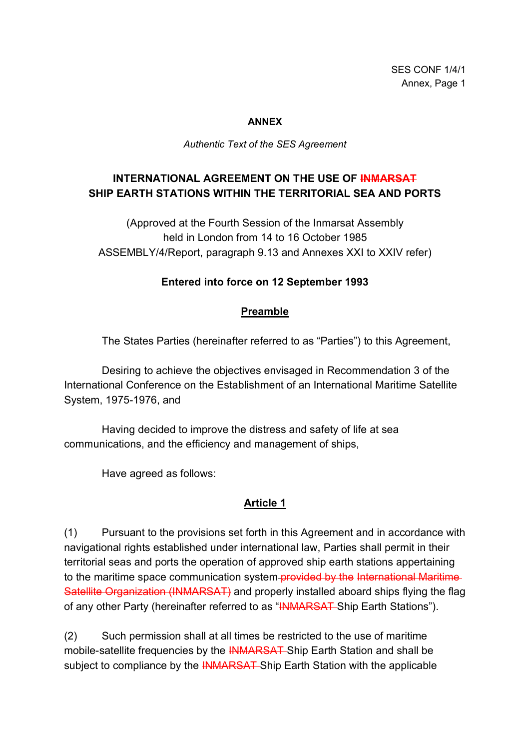#### **ANNEX**

*Authentic Text of the SES Agreement*

# **INTERNATIONAL AGREEMENT ON THE USE OF INMARSAT SHIP EARTH STATIONS WITHIN THE TERRITORIAL SEA AND PORTS**

(Approved at the Fourth Session of the Inmarsat Assembly held in London from 14 to 16 October 1985 ASSEMBLY/4/Report, paragraph 9.13 and Annexes XXI to XXIV refer)

### **Entered into force on 12 September 1993**

### **Preamble**

The States Parties (hereinafter referred to as "Parties") to this Agreement,

Desiring to achieve the objectives envisaged in Recommendation 3 of the International Conference on the Establishment of an International Maritime Satellite System, 1975-1976, and

Having decided to improve the distress and safety of life at sea communications, and the efficiency and management of ships,

Have agreed as follows:

### **Article 1**

(1) Pursuant to the provisions set forth in this Agreement and in accordance with navigational rights established under international law, Parties shall permit in their territorial seas and ports the operation of approved ship earth stations appertaining to the maritime space communication system provided by the International Maritime Satellite Organization (INMARSAT) and properly installed aboard ships flying the flag of any other Party (hereinafter referred to as "INMARSAT Ship Earth Stations").

(2) Such permission shall at all times be restricted to the use of maritime mobile-satellite frequencies by the INMARSAT Ship Earth Station and shall be subject to compliance by the **INMARSAT** Ship Earth Station with the applicable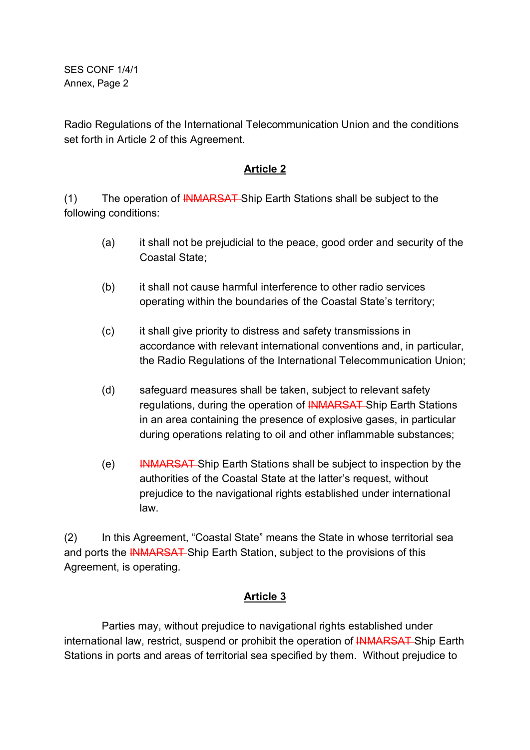Radio Regulations of the International Telecommunication Union and the conditions set forth in Article 2 of this Agreement.

## **Article 2**

(1) The operation of **INMARSAT** Ship Earth Stations shall be subject to the following conditions:

- (a) it shall not be prejudicial to the peace, good order and security of the Coastal State;
- (b) it shall not cause harmful interference to other radio services operating within the boundaries of the Coastal State's territory;
- (c) it shall give priority to distress and safety transmissions in accordance with relevant international conventions and, in particular, the Radio Regulations of the International Telecommunication Union;
- (d) safeguard measures shall be taken, subject to relevant safety regulations, during the operation of **INMARSAT** Ship Earth Stations in an area containing the presence of explosive gases, in particular during operations relating to oil and other inflammable substances;
- (e) INMARSAT Ship Earth Stations shall be subject to inspection by the authorities of the Coastal State at the latter's request, without prejudice to the navigational rights established under international law.

(2) In this Agreement, "Coastal State" means the State in whose territorial sea and ports the INMARSAT Ship Earth Station, subject to the provisions of this Agreement, is operating.

# **Article 3**

Parties may, without prejudice to navigational rights established under international law, restrict, suspend or prohibit the operation of **INMARSAT** Ship Earth Stations in ports and areas of territorial sea specified by them. Without prejudice to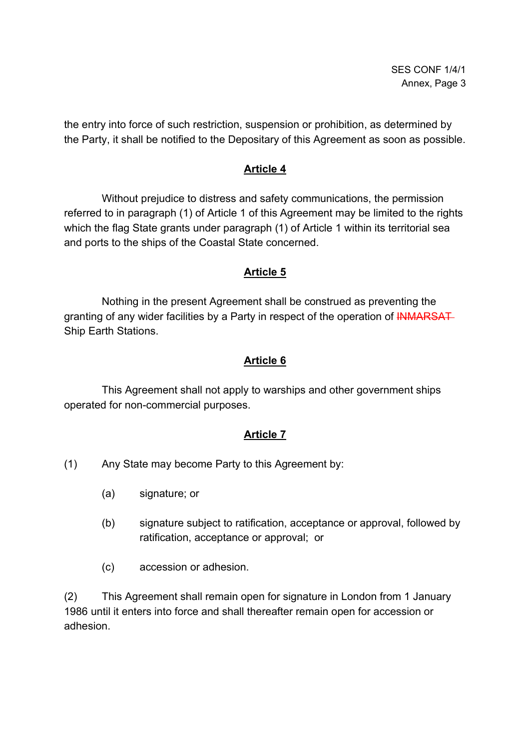the entry into force of such restriction, suspension or prohibition, as determined by the Party, it shall be notified to the Depositary of this Agreement as soon as possible.

### **Article 4**

Without prejudice to distress and safety communications, the permission referred to in paragraph (1) of Article 1 of this Agreement may be limited to the rights which the flag State grants under paragraph (1) of Article 1 within its territorial sea and ports to the ships of the Coastal State concerned.

## **Article 5**

Nothing in the present Agreement shall be construed as preventing the granting of any wider facilities by a Party in respect of the operation of INMARSAT Ship Earth Stations.

## **Article 6**

This Agreement shall not apply to warships and other government ships operated for non-commercial purposes.

### **Article 7**

- (1) Any State may become Party to this Agreement by:
	- (a) signature; or
	- (b) signature subject to ratification, acceptance or approval, followed by ratification, acceptance or approval; or
	- (c) accession or adhesion.

(2) This Agreement shall remain open for signature in London from 1 January 1986 until it enters into force and shall thereafter remain open for accession or adhesion.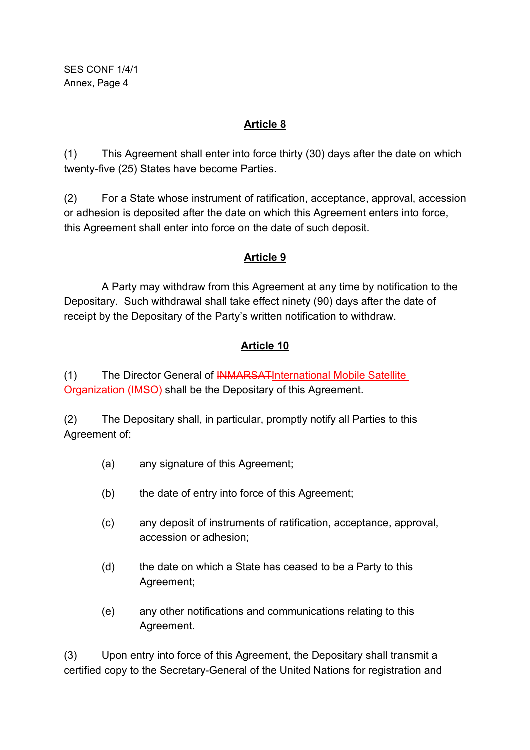# **Article 8**

(1) This Agreement shall enter into force thirty (30) days after the date on which twenty-five (25) States have become Parties.

(2) For a State whose instrument of ratification, acceptance, approval, accession or adhesion is deposited after the date on which this Agreement enters into force, this Agreement shall enter into force on the date of such deposit.

# **Article 9**

A Party may withdraw from this Agreement at any time by notification to the Depositary. Such withdrawal shall take effect ninety (90) days after the date of receipt by the Depositary of the Party's written notification to withdraw.

# **Article 10**

(1) The Director General of INMARSATInternational Mobile Satellite Organization (IMSO) shall be the Depositary of this Agreement.

(2) The Depositary shall, in particular, promptly notify all Parties to this Agreement of:

- (a) any signature of this Agreement;
- (b) the date of entry into force of this Agreement;
- (c) any deposit of instruments of ratification, acceptance, approval, accession or adhesion;
- (d) the date on which a State has ceased to be a Party to this Agreement;
- (e) any other notifications and communications relating to this Agreement.

(3) Upon entry into force of this Agreement, the Depositary shall transmit a certified copy to the Secretary-General of the United Nations for registration and